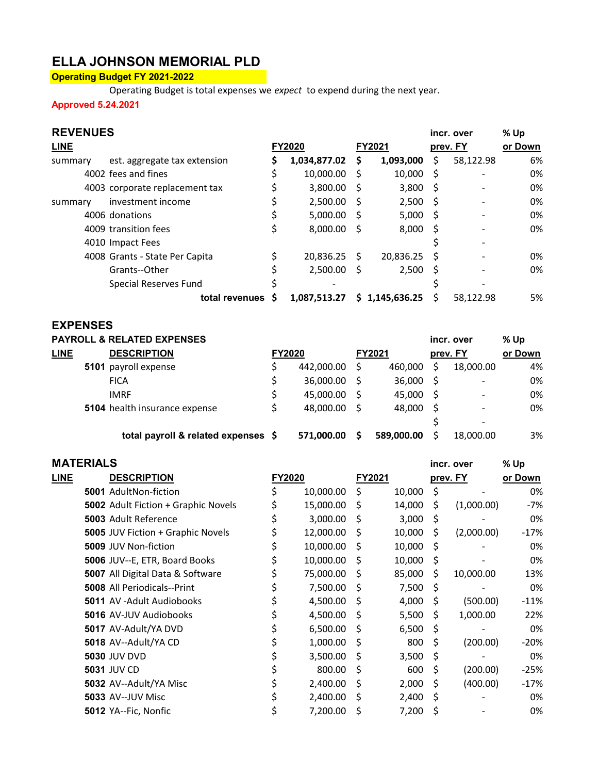# ELLA JOHNSON MEMORIAL PLD

### Operating Budget FY 2021-2022

Operating Budget is total expenses we expect to expend during the next year.

Approved 5.24.2021

| <b>REVENUES</b> |                                |    |               |   |                |      | incr. over               | % Up    |
|-----------------|--------------------------------|----|---------------|---|----------------|------|--------------------------|---------|
| <b>LINE</b>     |                                |    | <b>FY2020</b> |   | <b>FY2021</b>  |      | prev. FY                 | or Down |
| summary         | est. aggregate tax extension   | S  | 1,034,877.02  | S | 1,093,000      | S.   | 58,122.98                | 6%      |
|                 | 4002 fees and fines            | \$ | 10,000.00     | S | 10,000         | S    |                          | 0%      |
|                 | 4003 corporate replacement tax |    | 3,800.00      | S | 3,800          | S    |                          | 0%      |
| summary         | investment income              |    | 2,500.00      | S | 2,500          | - \$ |                          | 0%      |
|                 | 4006 donations                 |    | 5,000.00      | S | 5,000          | S    |                          | 0%      |
|                 | 4009 transition fees           |    | 8,000.00      | S | 8.000          | S    |                          | 0%      |
|                 | 4010 Impact Fees               |    |               |   |                |      |                          |         |
|                 | 4008 Grants - State Per Capita |    | 20,836.25     | S | 20,836.25      | S    | $\overline{\phantom{a}}$ | 0%      |
|                 | Grants--Other                  |    | 2,500.00      | S | 2,500          | S    |                          | 0%      |
|                 | Special Reserves Fund          |    |               |   |                |      |                          |         |
|                 | total revenues                 |    | 1,087,513.27  |   | \$1,145,636.25 |      | 58,122.98                | 5%      |

#### EXPENSES

|             |      | <b>PAYROLL &amp; RELATED EXPENSES</b> |               |            |    |               |   | incr. over               | % Up    |
|-------------|------|---------------------------------------|---------------|------------|----|---------------|---|--------------------------|---------|
| <b>LINE</b> |      | <b>DESCRIPTION</b>                    | <b>FY2020</b> |            |    | <b>FY2021</b> |   | prev. FY                 | or Down |
|             | 5101 | payroll expense                       |               | 442,000.00 | S  | 460.000       | S | 18,000.00                | 4%      |
|             |      | <b>FICA</b>                           |               | 36,000.00  | S  | 36,000        | S | $\overline{\phantom{a}}$ | 0%      |
|             |      | <b>IMRF</b>                           |               | 45,000.00  | S  | 45,000        | S | $\overline{\phantom{a}}$ | 0%      |
|             |      | <b>5104</b> health insurance expense  |               | 48.000.00  | -S | 48,000        | S | -                        | 0%      |
|             |      |                                       |               |            |    |               |   | -                        |         |
|             |      | total payroll & related expenses \$   |               | 571.000.00 | S  | 589,000.00    |   | 18,000.00                | 3%      |

#### MATERIALS **incr.** over % Up

| <b>LINE</b> | <b>DESCRIPTION</b>                  | <b>FY2020</b> |           | FY2021 |        | prev. FY |            | or Down |  |
|-------------|-------------------------------------|---------------|-----------|--------|--------|----------|------------|---------|--|
|             | 5001 AdultNon-fiction               | \$            | 10,000.00 | \$     | 10,000 | \$       |            | 0%      |  |
|             | 5002 Adult Fiction + Graphic Novels | \$            | 15,000.00 | S      | 14,000 | \$       | (1,000.00) | -7%     |  |
|             | <b>5003</b> Adult Reference         | \$            | 3,000.00  | S      | 3,000  | \$       |            | 0%      |  |
|             | 5005 JUV Fiction + Graphic Novels   |               | 12,000.00 | S      | 10,000 | \$       | (2,000.00) | $-17%$  |  |
|             | <b>5009 JUV Non-fiction</b>         |               | 10,000.00 | S      | 10,000 | \$       |            | 0%      |  |
|             | 5006 JUV--E, ETR, Board Books       |               | 10,000.00 | S      | 10,000 | \$       |            | 0%      |  |
|             | 5007 All Digital Data & Software    |               | 75,000.00 | S      | 85,000 | \$       | 10,000.00  | 13%     |  |
|             | <b>5008 All Periodicals--Print</b>  |               | 7,500.00  | S      | 7,500  | \$       |            | 0%      |  |
|             | <b>5011</b> AV - Adult Audiobooks   |               | 4,500.00  | S      | 4,000  | S        | (500.00)   | $-11%$  |  |
|             | <b>5016</b> AV-JUV Audiobooks       |               | 4,500.00  | S      | 5,500  | \$       | 1,000.00   | 22%     |  |
|             | 5017 AV-Adult/YA DVD                |               | 6,500.00  | -S     | 6,500  | -\$      |            | 0%      |  |
|             | 5018 AV--Adult/YA CD                |               | 1,000.00  | S      | 800    | \$       | (200.00)   | $-20%$  |  |
|             | <b>5030 JUV DVD</b>                 | \$            | 3,500.00  | S      | 3,500  | \$       |            | 0%      |  |
|             | <b>5031 JUV CD</b>                  |               | 800.00    | S      | 600    | \$       | (200.00)   | $-25%$  |  |
|             | 5032 AV--Adult/YA Misc              |               | 2,400.00  | Ś      | 2,000  | \$       | (400.00)   | $-17%$  |  |
|             | 5033 AV--JUV Misc                   |               | 2,400.00  | S      | 2,400  | \$       |            | 0%      |  |
|             | 5012 YA--Fic, Nonfic                | \$            | 7,200.00  | S      | 7,200  | \$       |            | 0%      |  |
|             |                                     |               |           |        |        |          |            |         |  |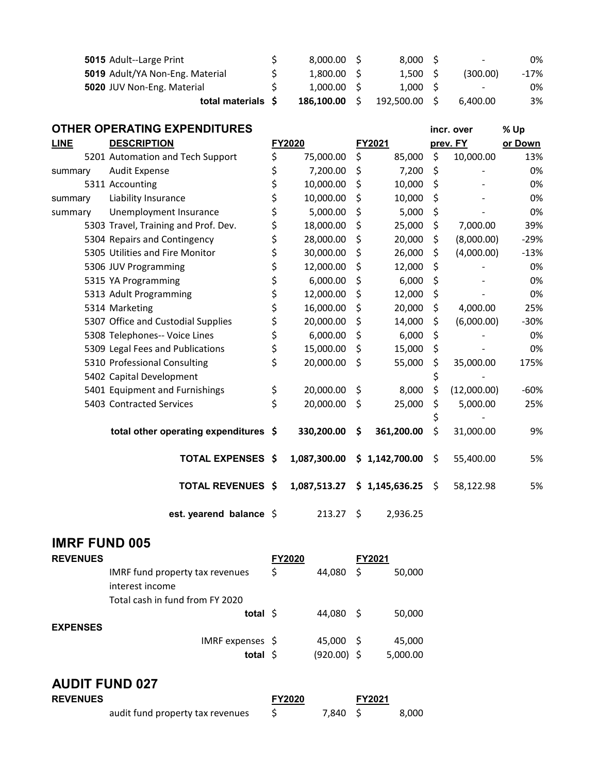| 5015 Adult--Large Print         | 8.000.00 S |    | 8.000 S    | $\sim$                   | 0%     |
|---------------------------------|------------|----|------------|--------------------------|--------|
| 5019 Adult/YA Non-Eng. Material | 1.800.00 S |    | 1.500 S    | (300.00)                 | $-17%$ |
| 5020 JUV Non-Eng. Material      | 1.000.00 S |    | 1.000 S    | $\overline{\phantom{a}}$ | 0%     |
| total materials \$              | 186.100.00 | S. | 192,500.00 | 6.400.00                 | 3%     |

|             | <b>OTHER OPERATING EXPENDITURES</b>   |                 |                  |          | incr. over  | % Up    |
|-------------|---------------------------------------|-----------------|------------------|----------|-------------|---------|
| <b>LINE</b> | <b>DESCRIPTION</b>                    | FY2020          | FY2021           | prev. FY |             | or Down |
|             | 5201 Automation and Tech Support      | \$<br>75,000.00 | \$<br>85,000     | \$       | 10,000.00   | 13%     |
| summary     | <b>Audit Expense</b>                  | \$<br>7,200.00  | \$<br>7,200      | \$       |             | 0%      |
|             | 5311 Accounting                       | \$<br>10,000.00 | \$<br>10,000     | \$       |             | 0%      |
| summary     | Liability Insurance                   | \$<br>10,000.00 | \$<br>10,000     | \$       |             | 0%      |
| summary     | Unemployment Insurance                | \$<br>5,000.00  | \$<br>5,000      | \$       |             | 0%      |
|             | 5303 Travel, Training and Prof. Dev.  | \$<br>18,000.00 | \$<br>25,000     | \$       | 7,000.00    | 39%     |
|             | 5304 Repairs and Contingency          | \$<br>28,000.00 | \$<br>20,000     | \$       | (8,000.00)  | $-29%$  |
|             | 5305 Utilities and Fire Monitor       | \$<br>30,000.00 | \$<br>26,000     | \$       | (4,000.00)  | $-13%$  |
|             | 5306 JUV Programming                  | \$<br>12,000.00 | \$<br>12,000     | \$       |             | 0%      |
|             | 5315 YA Programming                   | \$<br>6,000.00  | \$<br>6,000      | \$       |             | 0%      |
|             | 5313 Adult Programming                | \$<br>12,000.00 | \$<br>12,000     | \$       |             | 0%      |
|             | 5314 Marketing                        | \$<br>16,000.00 | \$<br>20,000     | \$       | 4,000.00    | 25%     |
|             | 5307 Office and Custodial Supplies    | \$<br>20,000.00 | \$<br>14,000     | \$       | (6,000.00)  | $-30%$  |
|             | 5308 Telephones-- Voice Lines         | \$<br>6,000.00  | \$<br>6,000      | \$       |             | 0%      |
|             | 5309 Legal Fees and Publications      | \$<br>15,000.00 | \$<br>15,000     | \$       |             | 0%      |
|             | 5310 Professional Consulting          | \$<br>20,000.00 | \$<br>55,000     | \$       | 35,000.00   | 175%    |
|             | 5402 Capital Development              |                 |                  | \$       |             |         |
|             | 5401 Equipment and Furnishings        | \$<br>20,000.00 | \$<br>8,000      | \$       | (12,000.00) | $-60%$  |
|             | 5403 Contracted Services              | \$<br>20,000.00 | \$<br>25,000     | \$       | 5,000.00    | 25%     |
|             |                                       |                 |                  |          |             |         |
|             | total other operating expenditures \$ | 330,200.00      | \$<br>361,200.00 | \$       | 31,000.00   | 9%      |
|             |                                       |                 |                  |          |             | 5%      |
|             | <b>TOTAL EXPENSES \$</b>              | 1,087,300.00    | \$1,142,700.00   | \$       | 55,400.00   |         |
|             | <b>TOTAL REVENUES \$</b>              | 1,087,513.27    | \$1,145,636.25   | \$       | 58,122.98   | 5%      |
|             | est. yearend balance \$               | 213.27          | \$<br>2,936.25   |          |             |         |

#### IMRF FUND 005

| <b>REVENUES</b>       |                                  | FY2020 |               | <b>FY2021</b> |          |
|-----------------------|----------------------------------|--------|---------------|---------------|----------|
|                       | IMRF fund property tax revenues  | \$     | 44,080        | \$            | 50,000   |
|                       | interest income                  |        |               |               |          |
|                       | Total cash in fund from FY 2020  |        |               |               |          |
|                       | total $\frac{1}{2}$              |        | 44,080        | - S           | 50,000   |
| <b>EXPENSES</b>       |                                  |        |               |               |          |
|                       | IMRF expenses \$                 |        | 45,000 \$     |               | 45,000   |
|                       | total $\frac{1}{2}$              |        | $(920.00)$ \$ |               | 5,000.00 |
|                       |                                  |        |               |               |          |
| <b>AUDIT FUND 027</b> |                                  |        |               |               |          |
| <b>REVENUES</b>       |                                  | FY2020 |               | FY2021        |          |
|                       | audit fund property tax revenues | \$     | 7.840         | S             | 8.000    |